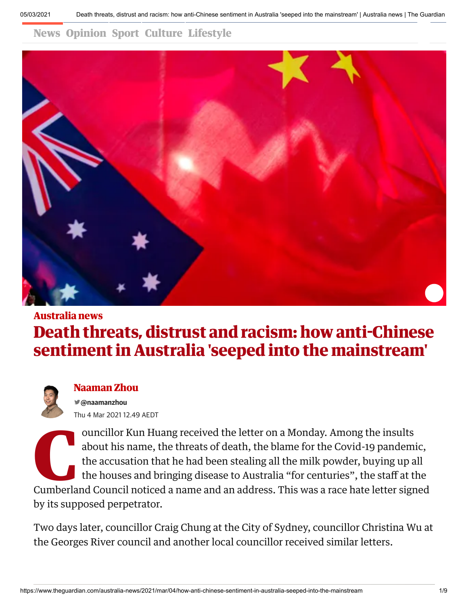#### **[News](https://www.theguardian.com/) [Opinion](https://www.theguardian.com/commentisfree) [Sport](https://www.theguardian.com/sport) [Culture](https://www.theguardian.com/culture) [Lifestyle](https://www.theguardian.com/lifeandstyle)**



# **[Australia](https://www.theguardian.com/australia-news/australia-news) news Death threats, distrust and racism: how anti-Chinese sentiment in Australia 'seeped into the mainstream'**



#### **[Naaman](https://www.theguardian.com/profile/naaman-zhou) Zhou**

**[@naamanzhou](https://www.twitter.com/naamanzhou)** Thu 4 Mar 2021 12.49 AEDT

**CULTER CULTER COUNTER CHANGE IS about his name, the threats of death, the blame for the Covid-19 pandemic, the accusation that he had been stealing all the milk powder, buying up all the houses and bringing disease to Aus** ouncillor Kun Huang received the letter on a Monday. Among the insults about his name, the threats of death, the blame for the Covid-19 pandemic, the accusation that he had been stealing all the milk powder, buying up all the houses and bringing disease to Australia "for centuries", the staff at the

by its supposed perpetrator.

Two days later, councillor Craig Chung at the City of Sydney, councillor Christina Wu at the Georges River council and another local councillor received similar letters.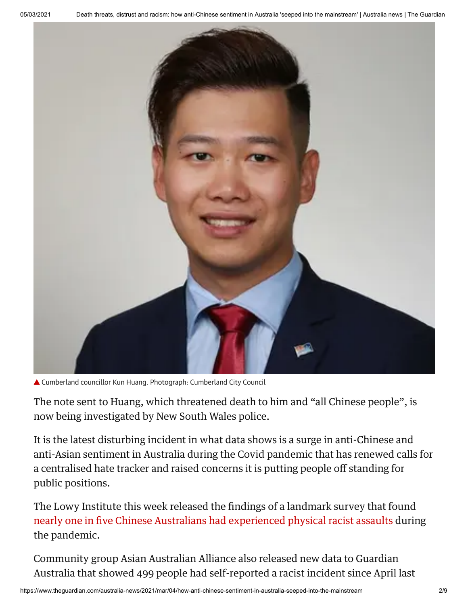

▲ Cumberland councillor Kun Huang. Photograph: Cumberland City Council

The note sent to Huang, which threatened death to him and "all Chinese people", is now being investigated by New South Wales police.

It is the latest disturbing incident in what data shows is a surge in anti-Chinese and anti-Asian sentiment in Australia during the Covid pandemic that has renewed calls for a centralised hate tracker and raised concerns it is putting people off standing for public positions.

The Lowy Institute this week released the findings of a landmark survey that found nearly one in five Chinese [Australians had](https://www.theguardian.com/australia-news/2021/mar/03/nearly-one-in-five-chinese-australians-threatened-or-attacked-in-past-year-survey-finds) experienced physical racist assaults during the pandemic.

Community group Asian Australian Alliance also released new data to Guardian Australia that showed 499 people had self-reported a racist incident since April last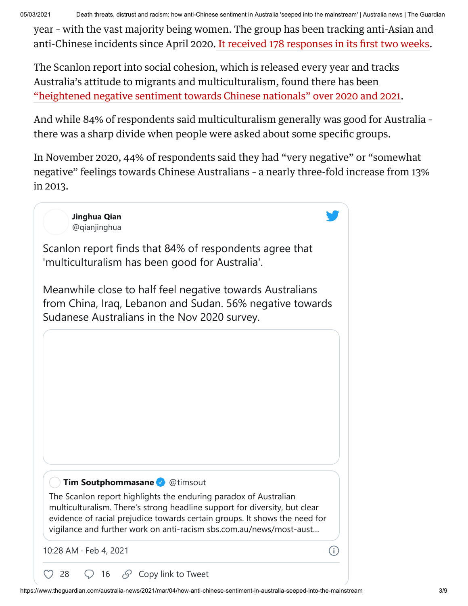year – with the vast majority being women. The group has been tracking anti-Asian and anti-Chinese incidents since April 2020. It received 178 [responses](https://www.theguardian.com/world/2020/apr/17/survey-of-covid-19-racism-against-asian-australians-records-178-incidents-in-two-weeks) in its first two weeks.

The Scanlon report into social cohesion, which is released every year and tracks Australia's attitude to migrants and multiculturalism, found there has been ["heightened](https://scanlonfoundation.org.au/current-research/) negative sentiment towards Chinese nationals" over 2020 and 2021.

And while 84% of respondents said multiculturalism generally was good for Australia – there was a sharp divide when people were asked about some specific groups.

In November 2020, 44% of respondents said they had "very negative" or "somewhat negative" feelings towards Chinese Australians – a nearly three-fold increase from 13% in 2013.

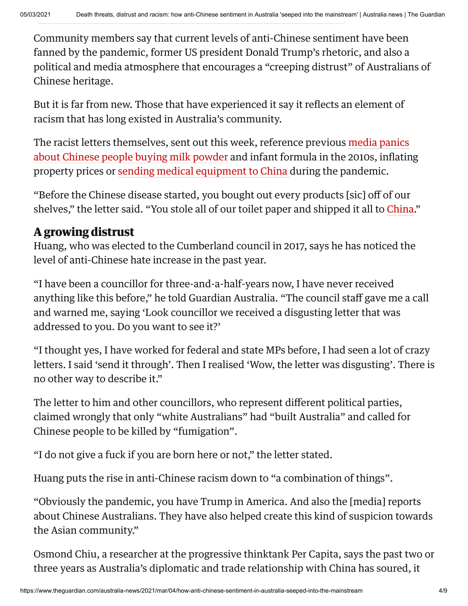Community members say that current levels of anti-Chinese sentiment have been fanned by the pandemic, former US president Donald Trump's rhetoric, and also a political and media atmosphere that encourages a "creeping distrust" of Australians of Chinese heritage.

But it is far from new. Those that have experienced it say it reflects an element of racism that has long existed in Australia's community.

The racist letters themselves, sent out [this week, reference](https://www.abc.net.au/news/2018-12-11/abc-investigation-uncovers-chinese-baby-formula-shoppers/10594400) previous media panics about Chinese people buying milk powder and infant formula in the 2010s, inflating property prices or sending medical [equipment](https://www.smh.com.au/national/chinese-backed-company-s-mission-to-source-australian-medical-supplies-20200325-p54du8.html) to China during the pandemic.

"Before the Chinese disease started, you bought out every products [sic] off of our shelves," the letter said. "You stole all of our toilet paper and shipped it all to [China.](https://www.theguardian.com/world/china)"

## **A growing distrust**

Huang, who was elected to the Cumberland council in 2017, says he has noticed the level of anti-Chinese hate increase in the past year.

"I have been a councillor for three-and-a-half-years now, I have never received anything like this before," he told Guardian Australia. "The council staff gave me a call and warned me, saying 'Look councillor we received a disgusting letter that was addressed to you. Do you want to see it?'

"I thought yes, I have worked for federal and state MPs before, I had seen a lot of crazy letters. I said 'send it through'. Then I realised 'Wow, the letter was disgusting'. There is no other way to describe it."

The letter to him and other councillors, who represent different political parties, claimed wrongly that only "white Australians" had "built Australia" and called for Chinese people to be killed by "fumigation".

"I do not give a fuck if you are born here or not," the letter stated.

Huang puts the rise in anti-Chinese racism down to "a combination of things".

"Obviously the pandemic, you have Trump in America. And also the [media] reports about Chinese Australians. They have also helped create this kind of suspicion towards the Asian community."

Osmond Chiu, a researcher at the progressive thinktank Per Capita, says the past two or three years as Australia's diplomatic and trade relationship with China has soured, it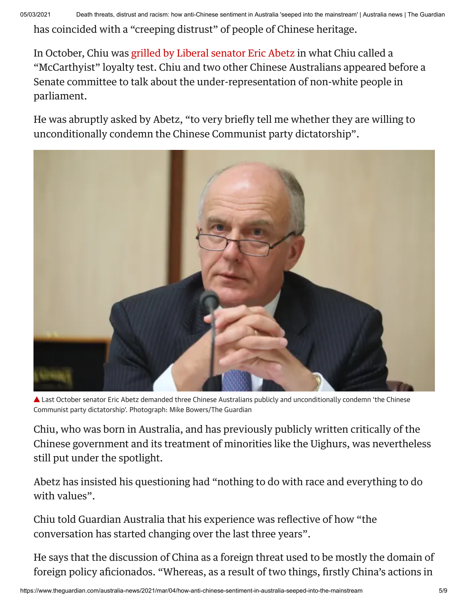has coincided with a "creeping distrust" of people of Chinese heritage.

In October, Chiu was grilled by Liberal [senator](https://www.theguardian.com/australia-news/2020/oct/16/eric-abetz-refuses-to-apologise-for-demanding-chinese-australians-denounce-communist-party) Eric Abetz in what Chiu called a "McCarthyist" loyalty test. Chiu and two other Chinese Australians appeared before a Senate committee to talk about the under-representation of non-white people in parliament.

He was abruptly asked by Abetz, "to very briefly tell me whether they are willing to unconditionally condemn the Chinese Communist party dictatorship".



▲ Last October senator Eric Abetz demanded three Chinese Australians publicly and unconditionally condemn 'the Chinese Communist party dictatorship'. Photograph: Mike Bowers/The Guardian

Chiu, who was born in Australia, and has previously publicly written critically of the Chinese government and its treatment of minorities like the Uighurs, was nevertheless still put under the spotlight.

Abetz has insisted his questioning had "nothing to do with race and everything to do with values".

Chiu told Guardian Australia that his experience was reflective of how "the conversation has started changing over the last three years".

He says that the discussion of China as a foreign threat used to be mostly the domain of foreign policy aficionados. "Whereas, as a result of two things, firstly China's actions in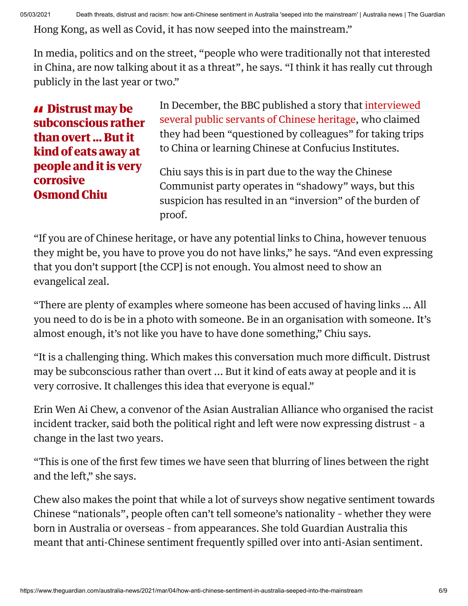Hong Kong, as well as Covid, it has now seeped into the mainstream."

In media, politics and on the street, "people who were traditionally not that interested in China, are now talking about it as a threat", he says. "I think it has really cut through publicly in the last year or two."

**Distrust may be subconscious rather than overt ... But it kind of eats away at people and it is very corrosive Osmond Chiu**

In December, the BBC published a story that [interviewed](https://www.bbc.com/news/world-australia-54595120) several public servants of Chinese heritage, who claimed they had been "questioned by colleagues" for taking trips to China or learning Chinese at Confucius Institutes.

Chiu says this is in part due to the way the Chinese Communist party operates in "shadowy" ways, but this suspicion has resulted in an "inversion" of the burden of proof.

"If you are of Chinese heritage, or have any potential links to China, however tenuous they might be, you have to prove you do not have links," he says. "And even expressing that you don't support [the CCP] is not enough. You almost need to show an evangelical zeal.

"There are plenty of examples where someone has been accused of having links … All you need to do is be in a photo with someone. Be in an organisation with someone. It's almost enough, it's not like you have to have done something," Chiu says.

"It is a challenging thing. Which makes this conversation much more difficult. Distrust may be subconscious rather than overt ... But it kind of eats away at people and it is very corrosive. It challenges this idea that everyone is equal."

Erin Wen Ai Chew, a convenor of the Asian Australian Alliance who organised the racist incident tracker, said both the political right and left were now expressing distrust – a change in the last two years.

"This is one of the first few times we have seen that blurring of lines between the right and the left," she says.

Chew also makes the point that while a lot of surveys show negative sentiment towards Chinese "nationals", people often can't tell someone's nationality – whether they were born in Australia or overseas – from appearances. She told Guardian Australia this meant that anti-Chinese sentiment frequently spilled over into anti-Asian sentiment.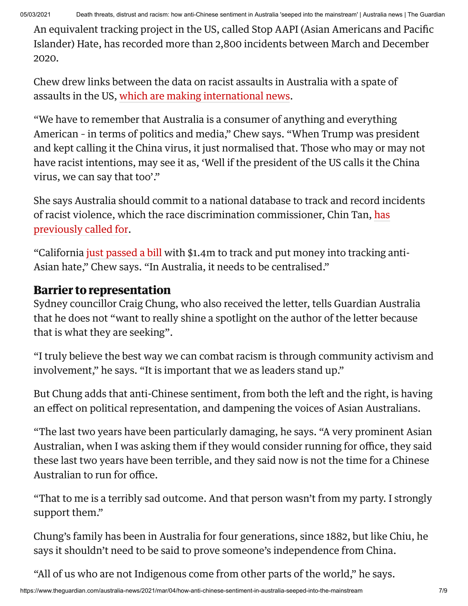An equivalent tracking project in the US, called Stop AAPI (Asian Americans and Pacific Islander) Hate, has recorded more than 2,800 incidents between March and December 2020.

Chew drew links between the data on racist assaults in Australia with a spate of assaults in the US, which are making [international](https://www.theguardian.com/us-news/2021/feb/20/anti-asian-violence-us-bigotry) news.

"We have to remember that Australia is a consumer of anything and everything American – in terms of politics and media," Chew says. "When Trump was president and kept calling it the China virus, it just normalised that. Those who may or may not have racist intentions, may see it as, 'Well if the president of the US calls it the China virus, we can say that too'."

She says Australia should commit to a national database to track and record incidents of racist violence, which the race discrimination [commissioner, Chin](https://www.abc.net.au/news/2020-05-09/coronavirus-covid-19-racist-attacks-data-collection-strategy/12229162?nw=0) Tan, has previously called for.

"California just [passed](https://www.sacbee.com/news/politics-government/capitol-alert/article249437955.html) a bill with \$1.4m to track and put money into tracking anti-Asian hate," Chew says. "In Australia, it needs to be centralised."

#### **Barrier to representation**

Sydney councillor Craig Chung, who also received the letter, tells Guardian Australia that he does not "want to really shine a spotlight on the author of the letter because that is what they are seeking".

"I truly believe the best way we can combat racism is through community activism and involvement," he says. "It is important that we as leaders stand up."

But Chung adds that anti-Chinese sentiment, from both the left and the right, is having an effect on political representation, and dampening the voices of Asian Australians.

"The last two years have been particularly damaging, he says. "A very prominent Asian Australian, when I was asking them if they would consider running for office, they said these last two years have been terrible, and they said now is not the time for a Chinese Australian to run for office.

"That to me is a terribly sad outcome. And that person wasn't from my party. I strongly support them."

Chung's family has been in Australia for four generations, since 1882, but like Chiu, he says it shouldn't need to be said to prove someone's independence from China.

"All of us who are not Indigenous come from other parts of the world," he says.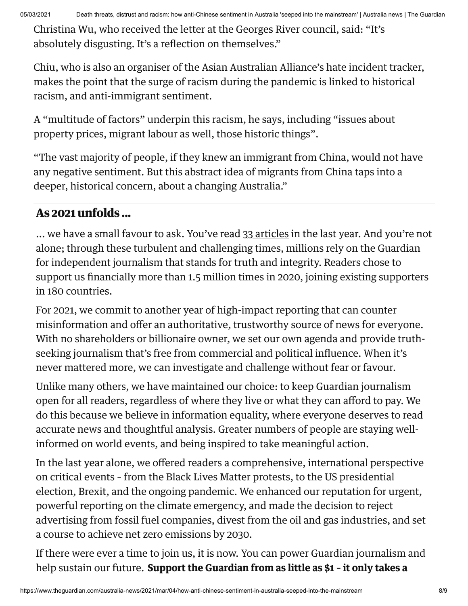Christina Wu, who received the letter at the Georges River council, said: "It's absolutely disgusting. It's a reflection on themselves."

Chiu, who is also an organiser of the Asian Australian Alliance's hate incident tracker, makes the point that the surge of racism during the pandemic is linked to historical racism, and anti-immigrant sentiment.

A "multitude of factors" underpin this racism, he says, including "issues about property prices, migrant labour as well, those historic things".

"The vast majority of people, if they knew an immigrant from China, would not have any negative sentiment. But this abstract idea of migrants from China taps into a deeper, historical concern, about a changing Australia."

### **As 2021 unfolds ...**

... we have a small favour to ask. You've read 33 articles in the last year. And you're not alone; through these turbulent and challenging times, millions rely on the Guardian for independent journalism that stands for truth and integrity. Readers chose to support us financially more than 1.5 million times in 2020, joining existing supporters in 180 countries.

For 2021, we commit to another year of high-impact reporting that can counter misinformation and offer an authoritative, trustworthy source of news for everyone. With no shareholders or billionaire owner, we set our own agenda and provide truthseeking journalism that's free from commercial and political influence. When it's never mattered more, we can investigate and challenge without fear or favour.

Unlike many others, we have maintained our choice: to keep Guardian journalism open for all readers, regardless of where they live or what they can afford to pay. We do this because we believe in information equality, where everyone deserves to read accurate news and thoughtful analysis. Greater numbers of people are staying wellinformed on world events, and being inspired to take meaningful action.

In the last year alone, we offered readers a comprehensive, international perspective on critical events – from the Black Lives Matter protests, to the US presidential election, Brexit, and the ongoing pandemic. We enhanced our reputation for urgent, powerful reporting on the climate emergency, and made the decision to reject advertising from fossil fuel companies, divest from the oil and gas industries, and set a course to achieve net zero emissions by 2030.

If there were ever a time to join us, it is now. You can power Guardian journalism and help sustain our future. **Support the Guardian from as little as \$1 – it only takes a**